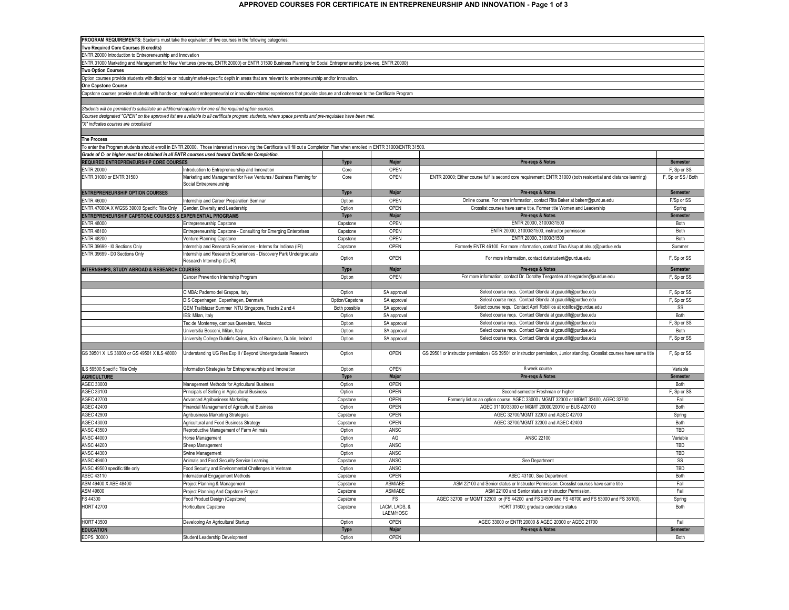| PROGRAM REQUIREMENTS: Students must take the equivalent of five courses in the following categories    |                                                                                                                                                                                 |                 |                            |                                                                                                                           |                    |  |  |
|--------------------------------------------------------------------------------------------------------|---------------------------------------------------------------------------------------------------------------------------------------------------------------------------------|-----------------|----------------------------|---------------------------------------------------------------------------------------------------------------------------|--------------------|--|--|
| Two Required Core Courses (6 credits)                                                                  |                                                                                                                                                                                 |                 |                            |                                                                                                                           |                    |  |  |
| ENTR 20000 Introduction to Entrepreneurship and Innovation                                             |                                                                                                                                                                                 |                 |                            |                                                                                                                           |                    |  |  |
|                                                                                                        | ENTR 31000 Marketing and Management for New Ventures (pre-req. ENTR 20000) or ENTR 31500 Business Planning for Social Entrepreneurship (pre-req. ENTR 20000)                    |                 |                            |                                                                                                                           |                    |  |  |
| <b>Two Option Courses</b>                                                                              |                                                                                                                                                                                 |                 |                            |                                                                                                                           |                    |  |  |
|                                                                                                        | Option courses provide students with discipline or industry/market-specific depth in areas that are relevant to entrepreneurship and/or innovation.                             |                 |                            |                                                                                                                           |                    |  |  |
| One Capstone Course                                                                                    |                                                                                                                                                                                 |                 |                            |                                                                                                                           |                    |  |  |
|                                                                                                        | Capstone courses provide students with hands-on, real-world entrepreneurial or innovation-related experiences that provide closure and coherence to the Certificate Program     |                 |                            |                                                                                                                           |                    |  |  |
|                                                                                                        |                                                                                                                                                                                 |                 |                            |                                                                                                                           |                    |  |  |
| Students will be permitted to substitute an additional capstone for one of the required option courses |                                                                                                                                                                                 |                 |                            |                                                                                                                           |                    |  |  |
|                                                                                                        | Courses designated "OPEN" on the approved list are available to all certificate program students, where space permits and pre-requisites have been met.                         |                 |                            |                                                                                                                           |                    |  |  |
| "X" indicates courses are crosslisted                                                                  |                                                                                                                                                                                 |                 |                            |                                                                                                                           |                    |  |  |
|                                                                                                        |                                                                                                                                                                                 |                 |                            |                                                                                                                           |                    |  |  |
| <b>The Process</b>                                                                                     |                                                                                                                                                                                 |                 |                            |                                                                                                                           |                    |  |  |
|                                                                                                        | To enter the Program students should enroll in ENTR 20000. Those interested in receiving the Certificate will fill out a Completion Plan when enrolled in ENTR 31000/ENTR 31500 |                 |                            |                                                                                                                           |                    |  |  |
| Grade of C- or higher must be obtained in all ENTR courses used toward Certificate Completion.         |                                                                                                                                                                                 |                 |                            |                                                                                                                           |                    |  |  |
| REQUIRED ENTREPRENEURSHIP CORE COURSES                                                                 |                                                                                                                                                                                 | <b>Type</b>     | Major                      | Pre-regs & Notes                                                                                                          | Semester           |  |  |
| <b>ENTR 20000</b>                                                                                      | Introduction to Entrepreneurship and Innovation                                                                                                                                 | Core            | OPEN                       |                                                                                                                           | F, Sp or SS        |  |  |
| ENTR 31000 or ENTR 31500                                                                               | Marketing and Management for New Ventures / Business Planning for<br>Social Entrepreneurship                                                                                    | Core            | OPEN                       | ENTR 20000; Either course fulfills second core requirement; ENTR 31000 (both residential and distance learning)           | F, Sp or SS / Both |  |  |
| <b>ENTREPRENEURSHIP OPTION COURSES</b>                                                                 |                                                                                                                                                                                 | <b>Type</b>     | <b>Major</b>               | Pre-regs & Notes                                                                                                          | <b>Semester</b>    |  |  |
| <b>ENTR 46000</b>                                                                                      | Internship and Career Preparation Seminar                                                                                                                                       | Option          | OPEN                       | Online course. For more information, contact Rita Baker at bakerr@purdue.edu                                              | F/Sp or SS         |  |  |
| ENTR 47000A X WGSS 39000 Specific Title Only                                                           | Gender, Diversity and Leadership                                                                                                                                                | Option          | OPEN                       | Crosslist courses have same title. Former title Women and Leadership                                                      | Spring             |  |  |
| ENTREPRENEURSHIP CAPSTONE COURSES & EXPERIENTIAL PROGRAMS                                              |                                                                                                                                                                                 | <b>Type</b>     | <b>Major</b>               | Pre-regs & Notes                                                                                                          | <b>Semester</b>    |  |  |
| <b>ENTR 48000</b>                                                                                      | Entrepreneurship Capstone                                                                                                                                                       | Capstone        | OPEN                       | ENTR 20000, 31000/31500                                                                                                   | Both               |  |  |
| <b>ENTR 48100</b>                                                                                      | Entrepreneurship Capstone - Consulting for Emerging Enterprises                                                                                                                 | Capstone        | OPEN                       | ENTR 20000, 31000/31500, instructor permission                                                                            | Both               |  |  |
| <b>ENTR 48200</b>                                                                                      | Venture Planning Capstone                                                                                                                                                       | Capstone        | OPEN                       | ENTR 20000, 31000/31500                                                                                                   | Both               |  |  |
| ENTR 39699 - IO Sections Only                                                                          | nternship and Research Experiences - Interns for Indiana (IFI)                                                                                                                  | Capstone        | OPEN                       | Formerly ENTR 46100. For more information, contact Tina Alsup at alsup@purdue.edu                                         | Summer             |  |  |
| ENTR 39699 - D0 Sections Only                                                                          | Internship and Research Experiences - Discovery Park Undergraduate                                                                                                              |                 |                            |                                                                                                                           |                    |  |  |
|                                                                                                        | Research Internship (DURI)                                                                                                                                                      | Option          | OPEN                       | For more information, contact duristudent@purdue.edu                                                                      | F, Sp or SS        |  |  |
| <b>INTERNSHIPS, STUDY ABROAD &amp; RESEARCH COURSES</b>                                                |                                                                                                                                                                                 | <b>Type</b>     | <b>Major</b>               | <b>Pre-reqs &amp; Notes</b>                                                                                               | <b>Semester</b>    |  |  |
|                                                                                                        | Cancer Prevention Internship Program                                                                                                                                            | Option          | OPEN                       | For more information, contact Dr. Dorothy Teegarden at teegarden@purdue.edu                                               | F, Sp or SS        |  |  |
|                                                                                                        |                                                                                                                                                                                 |                 |                            |                                                                                                                           |                    |  |  |
|                                                                                                        | CIMBA: Paderno del Grappa, Italy                                                                                                                                                | Option          | SA approval                | Select course regs. Contact Glenda at gcaudill@purdue.edu                                                                 | F, Sp or SS        |  |  |
|                                                                                                        | DIS Copenhagen, Copenhagen, Denmark                                                                                                                                             | Option/Capstone | SA approval                | Select course regs. Contact Glenda at gcaudill@purdue.edu                                                                 | F, Sp or SS        |  |  |
|                                                                                                        | GEM Trailblazer Summer NTU Singapore, Tracks 2 and 4                                                                                                                            | Both possible   | SA approval                | Select course regs. Contact April Roblillos at robillos@purdue.edu                                                        | SS                 |  |  |
|                                                                                                        | IES: Milan, Italy                                                                                                                                                               | Option          | SA approval                | Select course reqs. Contact Glenda at gcaudill@purdue.edu                                                                 | Both               |  |  |
|                                                                                                        | Tec de Monterrey, campus Queretaro, Mexico                                                                                                                                      | Option          | SA approval                | Select course regs. Contact Glenda at gcaudill@purdue.edu                                                                 | F, Sp or SS        |  |  |
|                                                                                                        | Universitia Bocconi, Milan, Italy                                                                                                                                               | Option          | SA approval                | Select course reqs. Contact Glenda at gcaudill@purdue.edu                                                                 | Both               |  |  |
|                                                                                                        | University College Dublin's Quinn, Sch. of Business, Dublin, Ireland                                                                                                            | Option          | SA approval                | Select course reqs. Contact Glenda at gcaudill@purdue.edu                                                                 | F. Sp or SS        |  |  |
|                                                                                                        |                                                                                                                                                                                 |                 |                            |                                                                                                                           |                    |  |  |
| GS 39501 X ILS 38000 or GS 49501 X ILS 48000                                                           | Understanding UG Res Exp II / Beyond Undergraduate Research                                                                                                                     | Option          | OPEN                       | GS 29501 or instructor permission / GS 39501 or instructor permission, Junior standing. Crosslist courses have same title | F, Sp or SS        |  |  |
| ILS 59500 Specific Title Only                                                                          | Information Strategies for Entrepreneurship and Innovation                                                                                                                      | Option          | OPEN                       | 8 week course                                                                                                             | Variable           |  |  |
| <b>AGRICULTURE</b>                                                                                     |                                                                                                                                                                                 | <b>Type</b>     | <b>Major</b>               | Pre-reqs & Notes                                                                                                          | Semester           |  |  |
| AGEC 33000                                                                                             | Management Methods for Agricultural Business                                                                                                                                    | Option          | OPEN                       |                                                                                                                           | Both               |  |  |
| AGEC 33100                                                                                             | Principals of Selling in Agricultural Business                                                                                                                                  | Option          | OPEN                       | Second semester Freshman or higher                                                                                        | F, Sp or SS        |  |  |
| <b>AGEC 42700</b>                                                                                      | Advanced Agribusiness Marketing                                                                                                                                                 | Capstone        | OPEN                       | Formerly list as an option course. AGEC 33000 / MGMT 32300 or MGMT 32400, AGEC 32700                                      | Fall               |  |  |
| <b>AGEC 42400</b>                                                                                      | Financial Management of Agricultural Business                                                                                                                                   | Option          | OPEN                       | AGEC 31100/33000 or MGMT 20000/20010 or BUS A20100                                                                        | Both               |  |  |
| <b>AGEC 42900</b>                                                                                      | Agribusiness Marketing Strategies                                                                                                                                               | Capstone        | OPEN                       | AGEC 32700/MGMT 32300 and AGEC 42700                                                                                      | Spring             |  |  |
| <b>AGEC 43000</b>                                                                                      | Agricultural and Food Business Strategy                                                                                                                                         | Capstone        | OPEN                       | AGEC 32700/MGMT 32300 and AGEC 42400                                                                                      | Both               |  |  |
| <b>ANSC 43500</b>                                                                                      | Reproductive Management of Farm Animals                                                                                                                                         | Option          | ANSC                       |                                                                                                                           | TBD                |  |  |
| <b>ANSC 44000</b>                                                                                      | Horse Management                                                                                                                                                                | Option          | AG                         | ANSC 22100                                                                                                                | Variable           |  |  |
| <b>ANSC 44200</b>                                                                                      | Sheep Management                                                                                                                                                                | Option          | ANSC                       |                                                                                                                           | TBD                |  |  |
| <b>ANSC 44300</b>                                                                                      | Swine Management                                                                                                                                                                | Option          | ANSC                       |                                                                                                                           | TBD                |  |  |
| <b>ANSC 49400</b>                                                                                      | Animals and Food Security Service Learning                                                                                                                                      | Capstone        | ANSC                       | See Department                                                                                                            | SS                 |  |  |
| ANSC 49500 specific title only                                                                         | Food Security and Environmental Challenges in Vietnam                                                                                                                           | Option          | ANSC                       |                                                                                                                           | TBD                |  |  |
| ASEC 43110                                                                                             |                                                                                                                                                                                 | Capstone        | OPEN                       | ASEC 43100, See Department                                                                                                | Both               |  |  |
| ASM 49400 X ABE 48400                                                                                  | nternational Engagement Methods<br>Project Planning & Management                                                                                                                | Capstone        | ASM/ABE                    | ASM 22100 and Senior status or Instructor Permission. Crosslist courses have same title                                   | Fall               |  |  |
|                                                                                                        |                                                                                                                                                                                 |                 |                            |                                                                                                                           |                    |  |  |
| ASM 49600<br>FS 44300                                                                                  | roject Planning And Capstone Project                                                                                                                                            | Capstone        | ASM/ABE                    | ASM 22100 and Senior status or Instructor Permission                                                                      | Fall               |  |  |
|                                                                                                        | Food Product Design (Capstone)                                                                                                                                                  | Capstone        | FS                         | AGEC 32700 or MGMT 32300 or (FS 44200 and FS 24500 and FS 46700 and FS 53000 and FS 36100)                                | Spring             |  |  |
| <b>HORT 42700</b>                                                                                      | Horticulture Capstone                                                                                                                                                           | Capstone        | LACM. LADS. &<br>LAEM/HOSC | HORT 31600; graduate candidate status                                                                                     | Both               |  |  |
| <b>HORT 43500</b>                                                                                      | Developing An Agricultural Startup                                                                                                                                              | Option          | OPEN                       | AGEC 33000 or ENTR 20000 & AGEC 20300 or AGEC 21700                                                                       | Fall               |  |  |
| <b>EDUCATION</b>                                                                                       |                                                                                                                                                                                 | <b>Type</b>     | <b>Major</b>               | Pre-reqs & Notes                                                                                                          | Semester           |  |  |
| EDPS 30000                                                                                             | Student Leadership Development                                                                                                                                                  | Option          | OPEN                       |                                                                                                                           | Both               |  |  |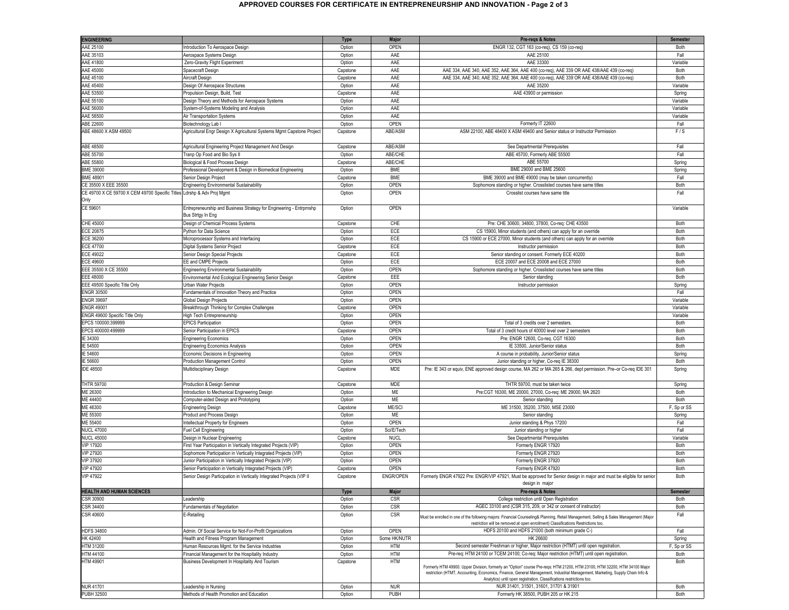| <b>ENGINEERING</b>                                                     |                                                                                          | <b>Type</b> | Major            | Pre-regs & Notes                                                                                                                                                                                                                                                                                                                    | <b>Semester</b> |
|------------------------------------------------------------------------|------------------------------------------------------------------------------------------|-------------|------------------|-------------------------------------------------------------------------------------------------------------------------------------------------------------------------------------------------------------------------------------------------------------------------------------------------------------------------------------|-----------------|
| AAE 25100                                                              | Introduction To Aerospace Design                                                         | Option      | <b>OPEN</b>      | ENGR 132, CGT 163 (co-req), CS 159 (co-req)                                                                                                                                                                                                                                                                                         | Both            |
|                                                                        |                                                                                          |             |                  |                                                                                                                                                                                                                                                                                                                                     |                 |
| AAE 35103                                                              | Aerospace Systems Design                                                                 | Option      | AAE              | AAE 25100                                                                                                                                                                                                                                                                                                                           | Fall            |
| AAE 41800                                                              | Zero-Gravity Flight Experiment                                                           | Option      | AAE              | AAE 33300                                                                                                                                                                                                                                                                                                                           | Variable        |
| AAE 45000                                                              | Spacecraft Design                                                                        | Capstone    | AAE              | AAE 334, AAE 340, AAE 352, AAE 364, AAE 400 (co-req), AAE 339 OR AAE 438/AAE 439 (co-req)                                                                                                                                                                                                                                           | Both            |
| AAE 45100                                                              | Aircraft Design                                                                          | Capstone    | AAE              | AAE 334, AAE 340, AAE 352, AAE 364, AAE 400 (co-req), AAE 339 OR AAE 438/AAE 439 (co-req)                                                                                                                                                                                                                                           | Both            |
| AAE 45400                                                              | Design Of Aerospace Structures                                                           | Option      | AAE              | AAE 35200                                                                                                                                                                                                                                                                                                                           | Variable        |
| AAE 53500                                                              | Propulsion Design, Build, Test                                                           | Capstone    | AAE              | AAE 43900 or permission                                                                                                                                                                                                                                                                                                             | Spring          |
| AAE 55100                                                              | Design Theory and Methods for Aerospace Systems                                          | Option      | AAE              |                                                                                                                                                                                                                                                                                                                                     | Variable        |
| AAE 56000                                                              | System-of-Systems Modeling and Analysis                                                  | Option      | AAE              |                                                                                                                                                                                                                                                                                                                                     | Variable        |
| AAE 58500                                                              |                                                                                          |             | AAE              |                                                                                                                                                                                                                                                                                                                                     |                 |
|                                                                        | Air Transportation Systems                                                               | Option      |                  |                                                                                                                                                                                                                                                                                                                                     | Variable        |
| ABE 22600                                                              | Biotechnology Lab                                                                        | Option      | OPEN             | Formerly IT 22600                                                                                                                                                                                                                                                                                                                   | Fall            |
| ABE 48600 X ASM 49500                                                  | Agricultural Engr Design X Agricultural Systems Mgmt Capstone Project                    | Capstone    | ABE/ASM          | ASM 22100, ABE 48400 X ASM 49400 and Senior status or Instructor Permission                                                                                                                                                                                                                                                         | F/S             |
| ABE 48500                                                              | Agricultural Engineering Project Management And Design                                   | Capstone    | ABE/ASM          | See Departmental Prerequisites                                                                                                                                                                                                                                                                                                      | Fall            |
| ABE 55700                                                              | Tranp Op Food and Bio Sys II                                                             |             | ABE/CHE          |                                                                                                                                                                                                                                                                                                                                     | Fall            |
|                                                                        |                                                                                          | Option      |                  | ABE 45700, Formerly ABE 55500                                                                                                                                                                                                                                                                                                       |                 |
| ABE 55800                                                              | Biological & Food Process Design                                                         | Capstone    | ABE/CHE          | ABE 55700                                                                                                                                                                                                                                                                                                                           | Spring          |
| BME 39000                                                              | Professional Development & Design in Biomedical Engineering                              | Option      | <b>BME</b>       | BME 29000 and BME 25600                                                                                                                                                                                                                                                                                                             | Spring          |
| <b>BME 48901</b>                                                       | Senior Design Project                                                                    | Capstone    | <b>BME</b>       | BME 39000 and BME 49000 (may be taken concurrently)                                                                                                                                                                                                                                                                                 | Fall            |
| CE 35500 X EEE 35500                                                   | <b>Engineering Environmental Sustainability</b>                                          | Option      | OPEN             | Sophomore standing or higher. Crosslisted courses have same titles                                                                                                                                                                                                                                                                  | Both            |
| CE 49700 X CE 59700 X CEM 49700 Specific Titles Ldrshp & Adv Proj Mgmt |                                                                                          | Option      | OPEN             | Crosslist courses have same title                                                                                                                                                                                                                                                                                                   | Fall            |
| Only                                                                   |                                                                                          |             |                  |                                                                                                                                                                                                                                                                                                                                     |                 |
| CE 59601                                                               | Entrepreneurship and Business Strategy for Engineering - Entrprnshp<br>Bus Strtgy In Eng | Option      | OPEN             |                                                                                                                                                                                                                                                                                                                                     | Variable        |
| CHE 45000                                                              | Design of Chemical Process Systems                                                       | Capstone    | CHE              | Pre: CHE 30600, 34800, 37800, Co-req: CHE 43500                                                                                                                                                                                                                                                                                     | Both            |
| <b>ECE 20875</b>                                                       | Python for Data Science                                                                  | Option      | ECE              | CS 15900, Minor students (and others) can apply for an override                                                                                                                                                                                                                                                                     | Both            |
| ECE 36200                                                              | Microprocessor Systems and Interfacing                                                   |             | ECE              | CS 15900 or ECE 27000, Minor students (and others) can apply for an override                                                                                                                                                                                                                                                        | Both            |
|                                                                        |                                                                                          | Option      |                  |                                                                                                                                                                                                                                                                                                                                     |                 |
| <b>ECE 47700</b>                                                       | Digital Systems Senior Project                                                           | Capstone    | ECE              | Instructor permission                                                                                                                                                                                                                                                                                                               | Both            |
| ECE 49022                                                              | Senior Design Special Projects                                                           | Capstone    | ECE              | Senior standing or consent. Formerly ECE 40200                                                                                                                                                                                                                                                                                      | Both            |
| <b>ECE 49600</b>                                                       | EE and CMPE Projects                                                                     | Option      | ECE              | ECE 20007 and ECE 20008 and ECE 27000                                                                                                                                                                                                                                                                                               | Both            |
| EEE 35500 X CE 35500                                                   | <b>Engineering Environmental Sustainability</b>                                          | Option      | OPEN             | Sophomore standing or higher. Crosslisted courses have same titles                                                                                                                                                                                                                                                                  | Both            |
| EEE 48000                                                              | Environmental And Ecological Engineering Senior Design                                   | Capstone    | EEE              | Senior standing                                                                                                                                                                                                                                                                                                                     | Both            |
| EEE 49500 Specific Title Only                                          | Urban Water Projects                                                                     | Option      | OPEN             | Instructor permission                                                                                                                                                                                                                                                                                                               | Spring          |
| <b>ENGR 30500</b>                                                      | Fundamentals of Innovation Theory and Practice                                           | Option      | OPEN             |                                                                                                                                                                                                                                                                                                                                     | Fall            |
|                                                                        |                                                                                          |             |                  |                                                                                                                                                                                                                                                                                                                                     |                 |
| <b>ENGR 39697</b>                                                      | <b>Global Design Projects</b>                                                            | Option      | OPEN             |                                                                                                                                                                                                                                                                                                                                     | Variable        |
| <b>ENGR 49001</b>                                                      | Breakthrough Thinking for Complex Challenges                                             | Capstone    | OPEN             |                                                                                                                                                                                                                                                                                                                                     | Variable        |
| ENGR 49600 Specific Title Only                                         | High Tech Entrepreneurship                                                               | Option      | OPEN             |                                                                                                                                                                                                                                                                                                                                     | Variable        |
| EPCS 100000:399999                                                     | <b>EPICS Participation</b>                                                               | Option      | OPEN             | Total of 3 credits over 2 semesters.                                                                                                                                                                                                                                                                                                | Both            |
| EPCS 400000:499999                                                     | Senior Participation in EPICS                                                            | Capstone    | OPEN             | Total of 3 credit hours of 40000 level over 2 semesters                                                                                                                                                                                                                                                                             | Both            |
| IE 34300                                                               | <b>Engineering Economics</b>                                                             | Option      | OPEN             | Pre: ENGR 12600, Co-reg. CGT 16300                                                                                                                                                                                                                                                                                                  | Both            |
| IE 54500                                                               | <b>Engineering Economics Analysis</b>                                                    | Option      | OPEN             | IE 33500, Junior/Senior status                                                                                                                                                                                                                                                                                                      | Both            |
| E 54600                                                                |                                                                                          |             | OPEN             | A course in probability, Junior/Senior status                                                                                                                                                                                                                                                                                       |                 |
|                                                                        | Economic Decisions in Engineering                                                        | Option      |                  |                                                                                                                                                                                                                                                                                                                                     | Spring          |
| E 56600                                                                | Production Management Control                                                            | Option      | OPEN             | Junior standing or higher, Co-req IE 38300                                                                                                                                                                                                                                                                                          | Both            |
| <b>IDE 48500</b>                                                       | Multidisciplinary Design                                                                 | Capstone    | MDE              | Pre: IE 343 or equiv, ENE approved design course, MA 262 or MA 265 & 266, dept permission. Pre-or Co-req IDE 301                                                                                                                                                                                                                    | Spring          |
| THTR 59700                                                             | Production & Design Seminar                                                              | Capstone    | <b>MDE</b>       | THTR 59700, must be taken twice                                                                                                                                                                                                                                                                                                     | Spring          |
| ME 26300                                                               | Introduction to Mechanical Engineering Design                                            | Option      | ME               | Pre:CGT 16300, ME 20000, 27000, Co-req: ME 29000, MA 2620                                                                                                                                                                                                                                                                           | Both            |
| ME 44400                                                               |                                                                                          | Option      | ME               | Senior standing                                                                                                                                                                                                                                                                                                                     | Both            |
|                                                                        | Computer-aided Design and Prototyping                                                    |             |                  |                                                                                                                                                                                                                                                                                                                                     |                 |
| ME 46300                                                               | <b>Engineering Design</b>                                                                | Capstone    | ME/SCI           | ME 31500, 35200, 37500, MSE 23000                                                                                                                                                                                                                                                                                                   | F. Sp or SS     |
| ME 55300                                                               | Product and Process Design                                                               | Option      | <b>ME</b>        | Senior standing                                                                                                                                                                                                                                                                                                                     | Spring          |
| ME 55400                                                               | Intellectual Property for Engineers                                                      | Option      | OPEN             | Junior standing & Phys 17200                                                                                                                                                                                                                                                                                                        | Fall            |
| <b>NUCL 47000</b>                                                      | Fuel Cell Engineering                                                                    | Option      | Sci/E/Tech       | Junior standing or higher                                                                                                                                                                                                                                                                                                           | Fall            |
| <b>NUCL 45000</b>                                                      | Design in Nuclear Engineering                                                            | Capstone    | <b>NUCL</b>      | See Departmental Prerequisites                                                                                                                                                                                                                                                                                                      | Variable        |
| VIP 17920                                                              | First Year Participation in Vertically Integrated Projects (VIP)                         | Option      | OPEN             | Formerly ENGR 17920                                                                                                                                                                                                                                                                                                                 | Both            |
| <b>VIP 27920</b>                                                       | Sophomore Participation in Vertically Integrated Projects (VIP)                          | Option      | OPEN             | Formerly ENGR 27920                                                                                                                                                                                                                                                                                                                 | Both            |
|                                                                        |                                                                                          |             |                  |                                                                                                                                                                                                                                                                                                                                     |                 |
| VIP 37920                                                              | Junior Participation in Vertically Integrated Projects (VIP)                             | Option      | OPEN             | Formerly ENGR 37920                                                                                                                                                                                                                                                                                                                 | Both            |
| <b>VIP 47920</b>                                                       | Senior Participation in Vertically Integrated Projects (VIP)                             | Capstone    | <b>OPEN</b>      | Formerly ENGR 47920                                                                                                                                                                                                                                                                                                                 | Both            |
| <b>VIP 47922</b>                                                       | Senior Design Participation in Vertically Integrated Projects (VIP II                    | Capstone    | <b>ENGR/OPEN</b> | Formerly ENGR 47922 Pre: ENGR/VIP 47921, Must be approved for Senior design in major and must be eligible for senior<br>design in major                                                                                                                                                                                             | Both            |
| <b>HEALTH AND HUMAN SCIENCES</b>                                       |                                                                                          | <b>Type</b> | Major            | Pre-regs & Notes                                                                                                                                                                                                                                                                                                                    | <b>Semester</b> |
| CSR 30900                                                              | eadership                                                                                | Option      | CSR              | College restriction until Open Registration                                                                                                                                                                                                                                                                                         | Both            |
| CSR 34400                                                              | Fundamentals of Negotiation                                                              | Option      | CSR              | AGEC 33100 and (CSR 315, 209, or 342 or consent of instructor)                                                                                                                                                                                                                                                                      | Both            |
|                                                                        |                                                                                          |             |                  |                                                                                                                                                                                                                                                                                                                                     |                 |
| CSR 40600                                                              | E-Retailing                                                                              | Option      | CSR              | Must be enrolled in one of the following majors: Financial Counseling& Planning, Retail Management, Selling & Sales Management (Major<br>restriction will be removed at open enrollment) Classifications Restrictions too.                                                                                                          | Fall            |
| HDFS 34800                                                             | Admin. Of Social Service for Not-For-Profit Organizations                                | Option      | OPEN             | HDFS 20100 and HDFS 21000 (both minimum grade C-)                                                                                                                                                                                                                                                                                   | Fall            |
| HK 42400                                                               | Health and Fitness Program Management                                                    | Option      | Some HK/NUTR     | HK 26600                                                                                                                                                                                                                                                                                                                            | Spring          |
|                                                                        |                                                                                          |             |                  |                                                                                                                                                                                                                                                                                                                                     |                 |
| HTM 31200                                                              | Human Resources Mgmt. for the Service Industries                                         | Option      | <b>HTM</b>       | Second semester Freshman or higher. Major restriction (HTMT) until open registration.                                                                                                                                                                                                                                               | F, Sp or SS     |
| HTM 44100                                                              | Financial Management for the Hospitality Industry                                        | Option      | <b>HTM</b>       | Pre-reg: HTM 24100 or TCEM 24100; Co-reg: Major restriction (HTMT) until open registration.                                                                                                                                                                                                                                         | Both            |
| HTM 49901                                                              | Business Development In Hospitality And Tourism                                          | Capstone    | <b>HTM</b>       | Formerly HTM 49900. Upper Division, formerly an "Option" course Pre-regs: HTM 21200, HTM 23100, HTM 32200, HTM 34100 Major<br>restriction (HTMT, Accounting, Economics, Finance, General Management, Industrial Management, Marketing, Supply Chain Info &<br>Analytics) until open registration. Classifications restrictions too. | Both            |
| <b>NUR 41701</b>                                                       | Leadership in Nursing                                                                    | Option      | <b>NUR</b>       | NUR 31401, 31501, 31601, 31701 & 31901                                                                                                                                                                                                                                                                                              | Both            |
| <b>PUBH 32500</b>                                                      | Methods of Health Promotion and Education                                                | Option      | <b>PUBH</b>      | Formerly HK 38500, PUBH 205 or HK 215                                                                                                                                                                                                                                                                                               | Both            |
|                                                                        |                                                                                          |             |                  |                                                                                                                                                                                                                                                                                                                                     |                 |